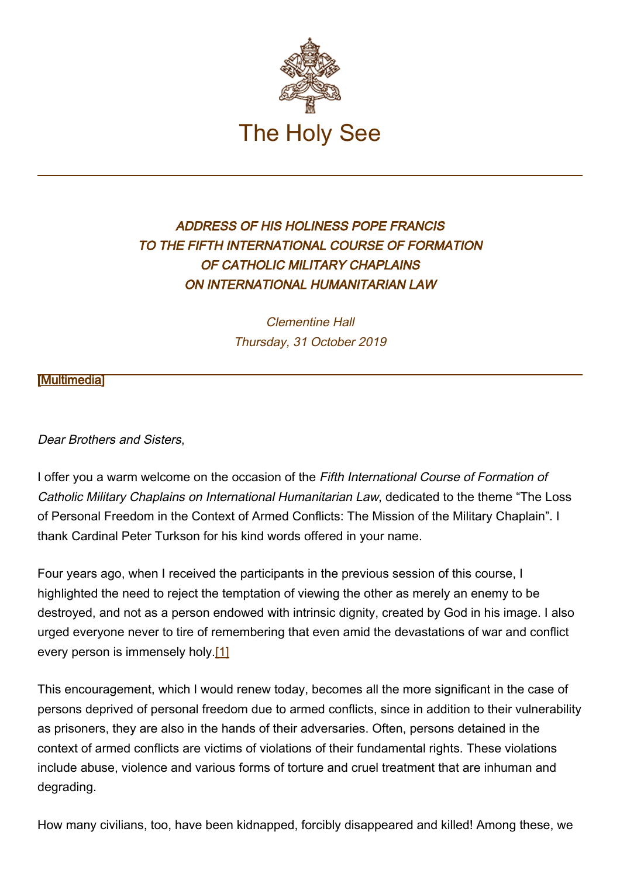

## ADDRESS OF HIS HOLINESS POPE FRANCIS TO THE FIFTH INTERNATIONAL COURSE OF FORMATION OF CATHOLIC MILITARY CHAPLAINS ON INTERNATIONAL HUMANITARIAN LAW

Clementine Hall Thursday, 31 October 2019

**Multimedial** 

Dear Brothers and Sisters,

I offer you a warm welcome on the occasion of the Fifth International Course of Formation of Catholic Military Chaplains on International Humanitarian Law, dedicated to the theme "The Loss of Personal Freedom in the Context of Armed Conflicts: The Mission of the Military Chaplain". I thank Cardinal Peter Turkson for his kind words offered in your name.

Four years ago, when I received the participants in the previous session of this course, I highlighted the need to reject the temptation of viewing the other as merely an enemy to be destroyed, and not as a person endowed with intrinsic dignity, created by God in his image. I also urged everyone never to tire of remembering that even amid the devastations of war and conflict every person is immensely holy.[1]

This encouragement, which I would renew today, becomes all the more significant in the case of persons deprived of personal freedom due to armed conflicts, since in addition to their vulnerability as prisoners, they are also in the hands of their adversaries. Often, persons detained in the context of armed conflicts are victims of violations of their fundamental rights. These violations include abuse, violence and various forms of torture and cruel treatment that are inhuman and degrading.

How many civilians, too, have been kidnapped, forcibly disappeared and killed! Among these, we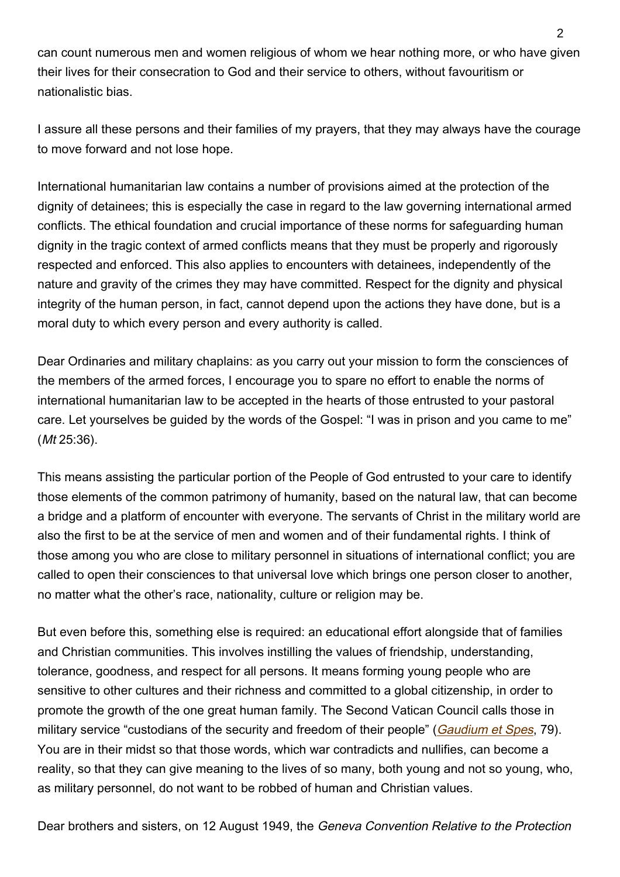can count numerous men and women religious of whom we hear nothing more, or who have given their lives for their consecration to God and their service to others, without favouritism or nationalistic bias.

I assure all these persons and their families of my prayers, that they may always have the courage to move forward and not lose hope.

International humanitarian law contains a number of provisions aimed at the protection of the dignity of detainees; this is especially the case in regard to the law governing international armed conflicts. The ethical foundation and crucial importance of these norms for safeguarding human dignity in the tragic context of armed conflicts means that they must be properly and rigorously respected and enforced. This also applies to encounters with detainees, independently of the nature and gravity of the crimes they may have committed. Respect for the dignity and physical integrity of the human person, in fact, cannot depend upon the actions they have done, but is a moral duty to which every person and every authority is called.

Dear Ordinaries and military chaplains: as you carry out your mission to form the consciences of the members of the armed forces, I encourage you to spare no effort to enable the norms of international humanitarian law to be accepted in the hearts of those entrusted to your pastoral care. Let yourselves be guided by the words of the Gospel: "I was in prison and you came to me" (Mt 25:36).

This means assisting the particular portion of the People of God entrusted to your care to identify those elements of the common patrimony of humanity, based on the natural law, that can become a bridge and a platform of encounter with everyone. The servants of Christ in the military world are also the first to be at the service of men and women and of their fundamental rights. I think of those among you who are close to military personnel in situations of international conflict; you are called to open their consciences to that universal love which brings one person closer to another, no matter what the other's race, nationality, culture or religion may be.

But even before this, something else is required: an educational effort alongside that of families and Christian communities. This involves instilling the values of friendship, understanding, tolerance, goodness, and respect for all persons. It means forming young people who are sensitive to other cultures and their richness and committed to a global citizenship, in order to promote the growth of the one great human family. The Second Vatican Council calls those in military service "custodians of the security and freedom of their people" ([Gaudium et Spes](http://www.vatican.va/archive/hist_councils/ii_vatican_council/documents/vat-ii_const_19651207_gaudium-et-spes_en.html), 79). You are in their midst so that those words, which war contradicts and nullifies, can become a reality, so that they can give meaning to the lives of so many, both young and not so young, who, as military personnel, do not want to be robbed of human and Christian values.

Dear brothers and sisters, on 12 August 1949, the Geneva Convention Relative to the Protection